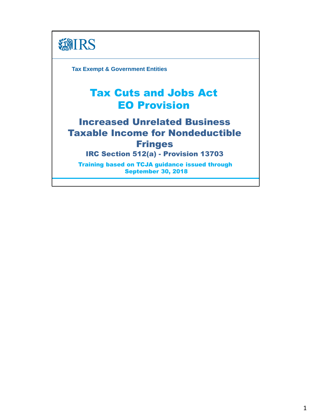

**Tax Exempt & Government Entities**

# Tax Cuts and Jobs Act EO Provision

# Increased Unrelated Business Taxable Income for Nondeductible Fringes

IRC Section 512(a) - Provision 13703

Training based on TCJA guidance issued through September 30, 2018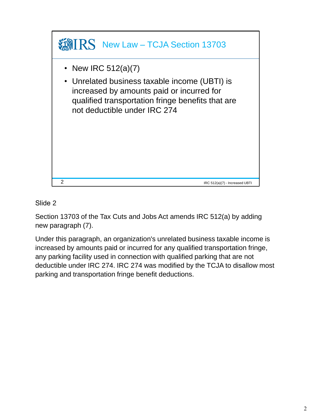

Section 13703 of the Tax Cuts and Jobs Act amends IRC 512(a) by adding new paragraph (7).

Under this paragraph, an organization's unrelated business taxable income is increased by amounts paid or incurred for any qualified transportation fringe, any parking facility used in connection with qualified parking that are not deductible under IRC 274. IRC 274 was modified by the TCJA to disallow most parking and transportation fringe benefit deductions.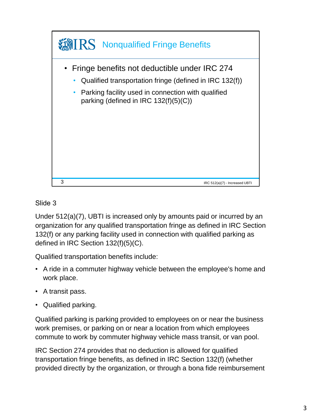

Under 512(a)(7), UBTI is increased only by amounts paid or incurred by an organization for any qualified transportation fringe as defined in IRC Section 132(f) or any parking facility used in connection with qualified parking as defined in IRC Section 132(f)(5)(C).

Qualified transportation benefits include:

- A ride in a commuter highway vehicle between the employee's home and work place.
- A transit pass.
- Qualified parking.

Qualified parking is parking provided to employees on or near the business work premises, or parking on or near a location from which employees commute to work by commuter highway vehicle mass transit, or van pool.

IRC Section 274 provides that no deduction is allowed for qualified transportation fringe benefits, as defined in IRC Section 132(f) (whether provided directly by the organization, or through a bona fide reimbursement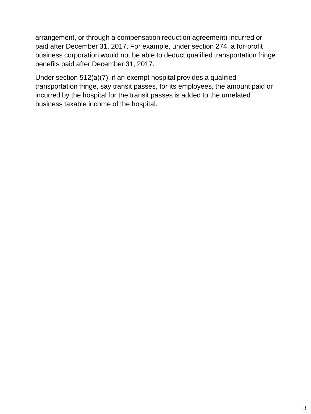arrangement, or through a compensation reduction agreement) incurred or paid after December 31, 2017. For example, under section 274, a for‐profit business corporation would not be able to deduct qualified transportation fringe benefits paid after December 31, 2017.

Under section 512(a)(7), if an exempt hospital provides a qualified transportation fringe, say transit passes, for its employees, the amount paid or incurred by the hospital for the transit passes is added to the unrelated business taxable income of the hospital.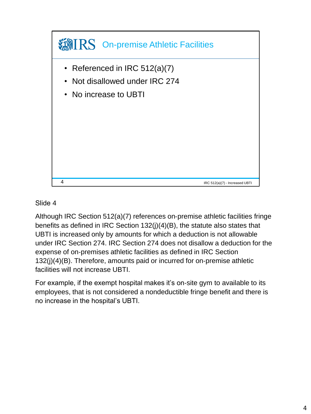

Although IRC Section 512(a)(7) references on‐premise athletic facilities fringe benefits as defined in IRC Section 132(j)(4)(B), the statute also states that UBTI is increased only by amounts for which a deduction is not allowable under IRC Section 274. IRC Section 274 does not disallow a deduction for the expense of on‐premises athletic facilities as defined in IRC Section 132(j)(4)(B). Therefore, amounts paid or incurred for on‐premise athletic facilities will not increase UBTI.

For example, if the exempt hospital makes it's on‐site gym to available to its employees, that is not considered a nondeductible fringe benefit and there is no increase in the hospital's UBTI.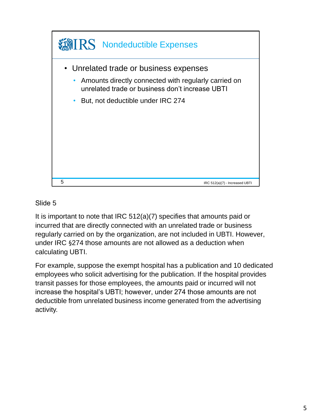

It is important to note that IRC 512(a)(7) specifies that amounts paid or incurred that are directly connected with an unrelated trade or business regularly carried on by the organization, are not included in UBTI. However, under IRC §274 those amounts are not allowed as a deduction when calculating UBTI.

For example, suppose the exempt hospital has a publication and 10 dedicated employees who solicit advertising for the publication. If the hospital provides transit passes for those employees, the amounts paid or incurred will not increase the hospital's UBTI; however, under 274 those amounts are not deductible from unrelated business income generated from the advertising activity.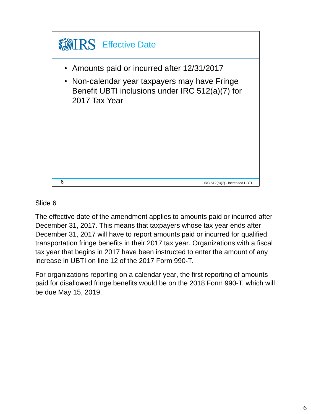

The effective date of the amendment applies to amounts paid or incurred after December 31, 2017. This means that taxpayers whose tax year ends after December 31, 2017 will have to report amounts paid or incurred for qualified transportation fringe benefits in their 2017 tax year. Organizations with a fiscal tax year that begins in 2017 have been instructed to enter the amount of any increase in UBTI on line 12 of the 2017 Form 990‐T.

For organizations reporting on a calendar year, the first reporting of amounts paid for disallowed fringe benefits would be on the 2018 Form 990‐T, which will be due May 15, 2019.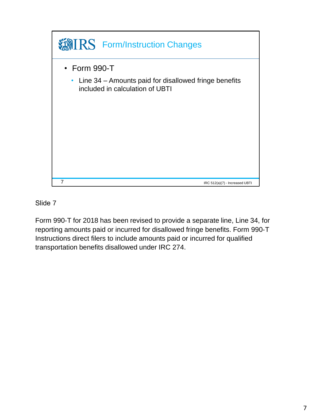

Form 990‐T for 2018 has been revised to provide a separate line, Line 34, for reporting amounts paid or incurred for disallowed fringe benefits. Form 990‐T Instructions direct filers to include amounts paid or incurred for qualified transportation benefits disallowed under IRC 274.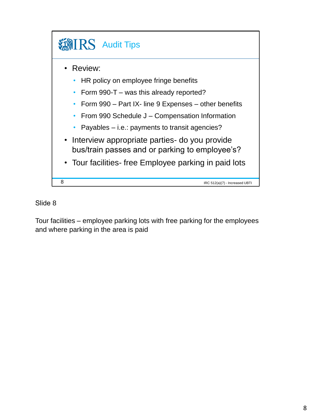

Tour facilities – employee parking lots with free parking for the employees and where parking in the area is paid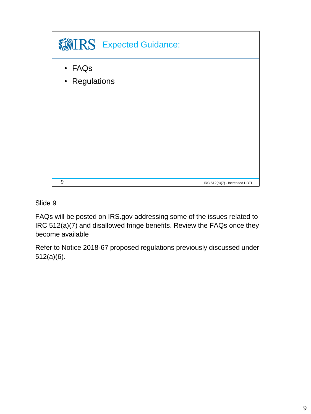

FAQs will be posted on IRS.gov addressing some of the issues related to IRC 512(a)(7) and disallowed fringe benefits. Review the FAQs once they become available

Refer to Notice 2018‐67 proposed regulations previously discussed under 512(a)(6).